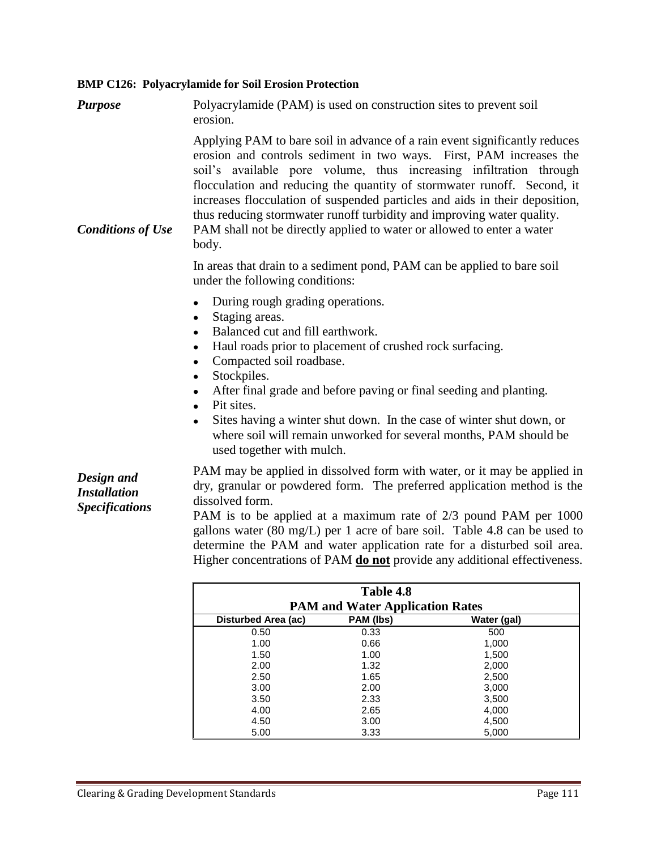## **BMP C126: Polyacrylamide for Soil Erosion Protection**

| <b>Purpose</b>                                             | Polyacrylamide (PAM) is used on construction sites to prevent soil<br>erosion.                                                                                                                                                                                                                                                                                                                                                                                                                                                                 |  |
|------------------------------------------------------------|------------------------------------------------------------------------------------------------------------------------------------------------------------------------------------------------------------------------------------------------------------------------------------------------------------------------------------------------------------------------------------------------------------------------------------------------------------------------------------------------------------------------------------------------|--|
| <b>Conditions of Use</b>                                   | Applying PAM to bare soil in advance of a rain event significantly reduces<br>erosion and controls sediment in two ways. First, PAM increases the<br>soil's available pore volume, thus increasing infiltration through<br>flocculation and reducing the quantity of stormwater runoff. Second, it<br>increases flocculation of suspended particles and aids in their deposition,<br>thus reducing stormwater runoff turbidity and improving water quality.<br>PAM shall not be directly applied to water or allowed to enter a water<br>body. |  |
|                                                            | In areas that drain to a sediment pond, PAM can be applied to bare soil<br>under the following conditions:                                                                                                                                                                                                                                                                                                                                                                                                                                     |  |
|                                                            | During rough grading operations.<br>$\bullet$<br>Staging areas.<br>٠<br>Balanced cut and fill earthwork.<br>$\bullet$<br>Haul roads prior to placement of crushed rock surfacing.<br>$\bullet$<br>Compacted soil roadbase.<br>$\bullet$<br>Stockpiles.<br>After final grade and before paving or final seeding and planting.<br>$\bullet$<br>Pit sites.<br>$\bullet$<br>Sites having a winter shut down. In the case of winter shut down, or<br>where soil will remain unworked for several months, PAM should be<br>used together with mulch. |  |
| Design and<br><b>Installation</b><br><b>Specifications</b> | PAM may be applied in dissolved form with water, or it may be applied in<br>dry, granular or powdered form. The preferred application method is the<br>dissolved form.<br>PAM is to be applied at a maximum rate of 2/3 pound PAM per 1000<br>gallons water $(80 \text{ mg/L})$ per 1 acre of bare soil. Table 4.8 can be used to<br>determine the PAM and water application rate for a disturbed soil area.<br>Higher concentrations of PAM <b>do not</b> provide any additional effectiveness.                                               |  |
|                                                            | Table 4.8                                                                                                                                                                                                                                                                                                                                                                                                                                                                                                                                      |  |

|                                        | Table 4.8 |             |  |  |
|----------------------------------------|-----------|-------------|--|--|
| <b>PAM and Water Application Rates</b> |           |             |  |  |
| Disturbed Area (ac)                    | PAM (lbs) | Water (gal) |  |  |
| 0.50                                   | 0.33      | 500         |  |  |
| 1.00                                   | 0.66      | 1,000       |  |  |
| 1.50                                   | 1.00      | 1,500       |  |  |
| 2.00                                   | 1.32      | 2,000       |  |  |
| 2.50                                   | 1.65      | 2,500       |  |  |
| 3.00                                   | 2.00      | 3,000       |  |  |
| 3.50                                   | 2.33      | 3,500       |  |  |
| 4.00                                   | 2.65      | 4,000       |  |  |
| 4.50                                   | 3.00      | 4,500       |  |  |
| 5.00                                   | 3.33      | 5,000       |  |  |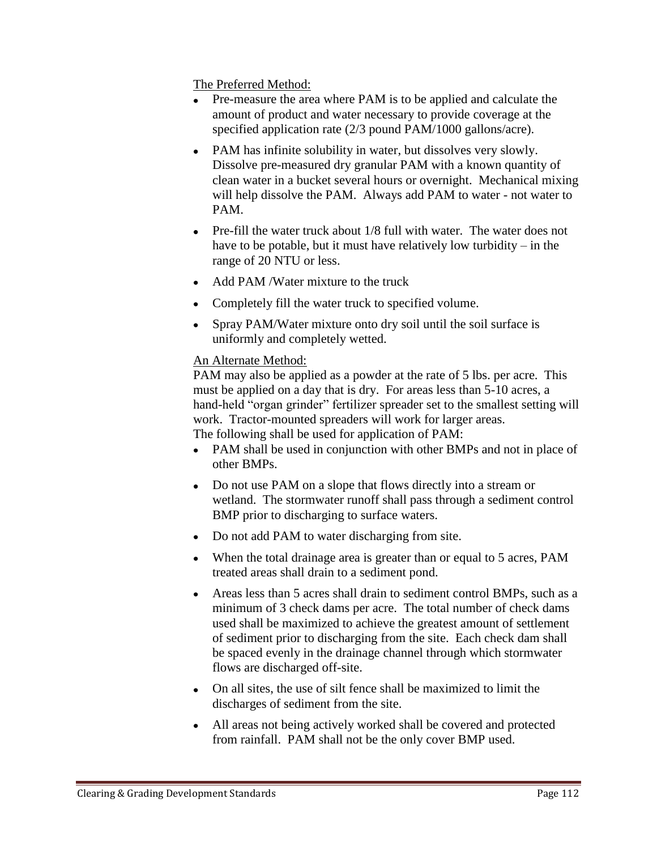The Preferred Method:

- Pre-measure the area where PAM is to be applied and calculate the amount of product and water necessary to provide coverage at the specified application rate (2/3 pound PAM/1000 gallons/acre).
- PAM has infinite solubility in water, but dissolves very slowly. Dissolve pre-measured dry granular PAM with a known quantity of clean water in a bucket several hours or overnight. Mechanical mixing will help dissolve the PAM. Always add PAM to water - not water to PAM.
- Pre-fill the water truck about 1/8 full with water. The water does not have to be potable, but it must have relatively low turbidity – in the range of 20 NTU or less.
- Add PAM / Water mixture to the truck
- Completely fill the water truck to specified volume.
- Spray PAM/Water mixture onto dry soil until the soil surface is uniformly and completely wetted.

## An Alternate Method:

PAM may also be applied as a powder at the rate of 5 lbs. per acre. This must be applied on a day that is dry. For areas less than 5-10 acres, a hand-held "organ grinder" fertilizer spreader set to the smallest setting will work. Tractor-mounted spreaders will work for larger areas.

The following shall be used for application of PAM:

- PAM shall be used in conjunction with other BMPs and not in place of other BMPs.
- Do not use PAM on a slope that flows directly into a stream or wetland. The stormwater runoff shall pass through a sediment control BMP prior to discharging to surface waters.
- Do not add PAM to water discharging from site.
- When the total drainage area is greater than or equal to 5 acres, PAM treated areas shall drain to a sediment pond.
- Areas less than 5 acres shall drain to sediment control BMPs, such as a minimum of 3 check dams per acre. The total number of check dams used shall be maximized to achieve the greatest amount of settlement of sediment prior to discharging from the site. Each check dam shall be spaced evenly in the drainage channel through which stormwater flows are discharged off-site.
- On all sites, the use of silt fence shall be maximized to limit the discharges of sediment from the site.
- All areas not being actively worked shall be covered and protected from rainfall. PAM shall not be the only cover BMP used.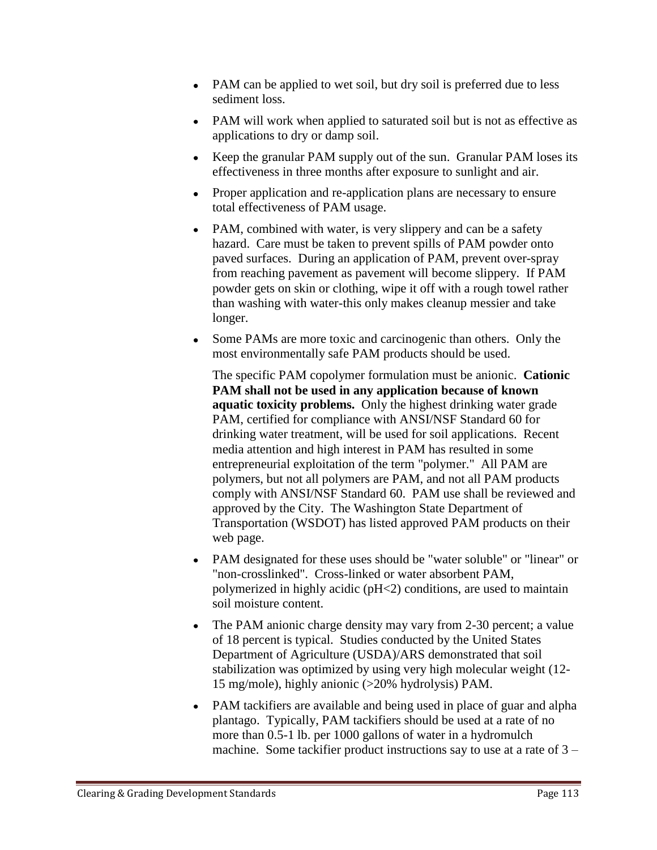- PAM can be applied to wet soil, but dry soil is preferred due to less sediment loss.
- PAM will work when applied to saturated soil but is not as effective as applications to dry or damp soil.
- Keep the granular PAM supply out of the sun. Granular PAM loses its effectiveness in three months after exposure to sunlight and air.
- Proper application and re-application plans are necessary to ensure total effectiveness of PAM usage.
- PAM, combined with water, is very slippery and can be a safety hazard. Care must be taken to prevent spills of PAM powder onto paved surfaces. During an application of PAM, prevent over-spray from reaching pavement as pavement will become slippery. If PAM powder gets on skin or clothing, wipe it off with a rough towel rather than washing with water-this only makes cleanup messier and take longer.
- Some PAMs are more toxic and carcinogenic than others. Only the most environmentally safe PAM products should be used.

The specific PAM copolymer formulation must be anionic. **Cationic PAM shall not be used in any application because of known aquatic toxicity problems.** Only the highest drinking water grade PAM, certified for compliance with ANSI/NSF Standard 60 for drinking water treatment, will be used for soil applications. Recent media attention and high interest in PAM has resulted in some entrepreneurial exploitation of the term "polymer." All PAM are polymers, but not all polymers are PAM, and not all PAM products comply with ANSI/NSF Standard 60. PAM use shall be reviewed and approved by the City. The Washington State Department of Transportation (WSDOT) has listed approved PAM products on their web page.

- PAM designated for these uses should be "water soluble" or "linear" or "non-crosslinked". Cross-linked or water absorbent PAM, polymerized in highly acidic (pH<2) conditions, are used to maintain soil moisture content.
- The PAM anionic charge density may vary from 2-30 percent; a value of 18 percent is typical. Studies conducted by the United States Department of Agriculture (USDA)/ARS demonstrated that soil stabilization was optimized by using very high molecular weight (12- 15 mg/mole), highly anionic (>20% hydrolysis) PAM.
- PAM tackifiers are available and being used in place of guar and alpha plantago. Typically, PAM tackifiers should be used at a rate of no more than 0.5-1 lb. per 1000 gallons of water in a hydromulch machine. Some tackifier product instructions say to use at a rate of 3 –